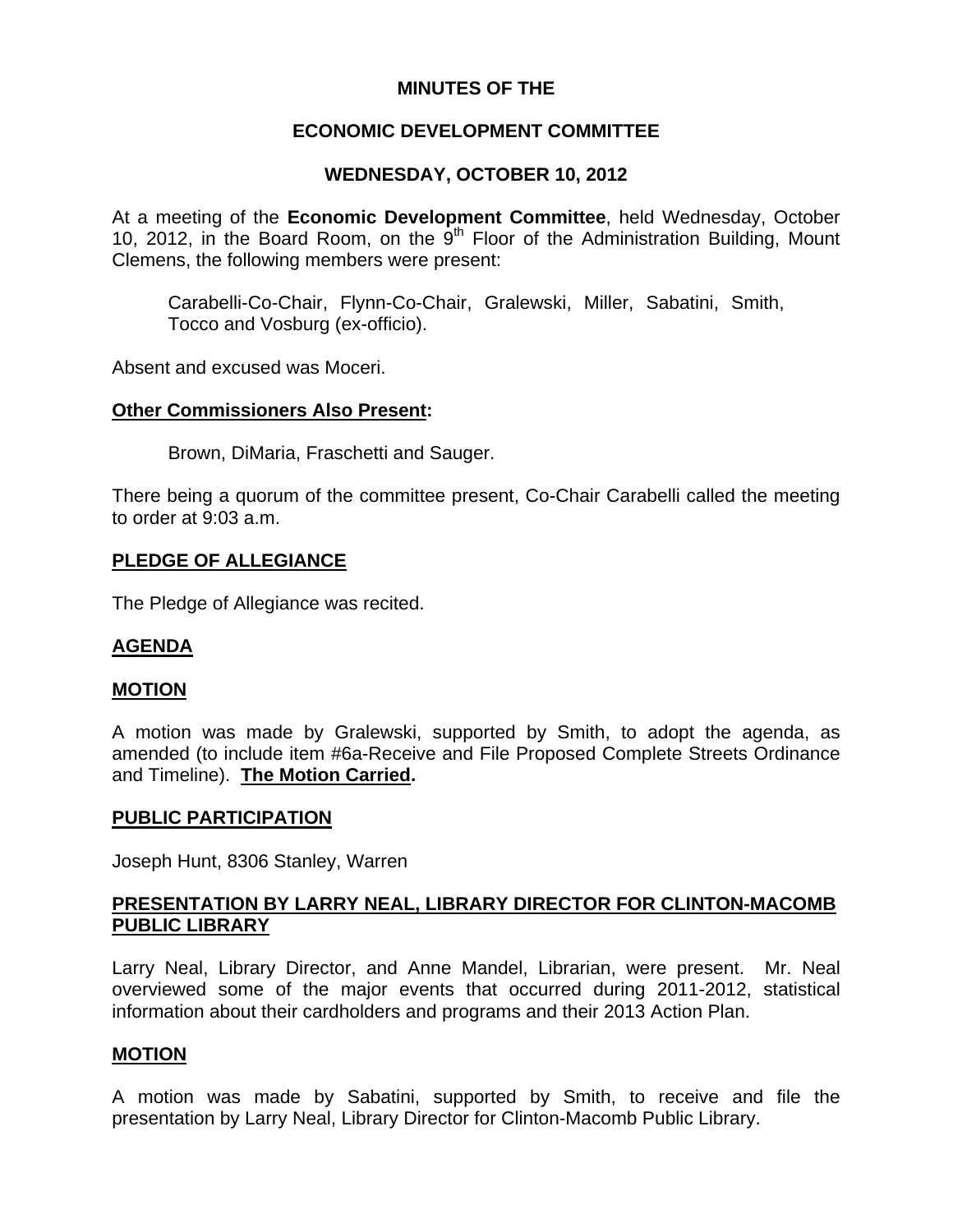### **MINUTES OF THE**

## **ECONOMIC DEVELOPMENT COMMITTEE**

## **WEDNESDAY, OCTOBER 10, 2012**

At a meeting of the **Economic Development Committee**, held Wednesday, October 10, 2012, in the Board Room, on the  $9<sup>th</sup>$  Floor of the Administration Building, Mount Clemens, the following members were present:

Carabelli-Co-Chair, Flynn-Co-Chair, Gralewski, Miller, Sabatini, Smith, Tocco and Vosburg (ex-officio).

Absent and excused was Moceri.

### **Other Commissioners Also Present:**

Brown, DiMaria, Fraschetti and Sauger.

There being a quorum of the committee present, Co-Chair Carabelli called the meeting to order at 9:03 a.m.

### **PLEDGE OF ALLEGIANCE**

The Pledge of Allegiance was recited.

#### **AGENDA**

#### **MOTION**

A motion was made by Gralewski, supported by Smith, to adopt the agenda, as amended (to include item #6a-Receive and File Proposed Complete Streets Ordinance and Timeline). **The Motion Carried.** 

#### **PUBLIC PARTICIPATION**

Joseph Hunt, 8306 Stanley, Warren

### **PRESENTATION BY LARRY NEAL, LIBRARY DIRECTOR FOR CLINTON-MACOMB PUBLIC LIBRARY**

Larry Neal, Library Director, and Anne Mandel, Librarian, were present. Mr. Neal overviewed some of the major events that occurred during 2011-2012, statistical information about their cardholders and programs and their 2013 Action Plan.

#### **MOTION**

A motion was made by Sabatini, supported by Smith, to receive and file the presentation by Larry Neal, Library Director for Clinton-Macomb Public Library.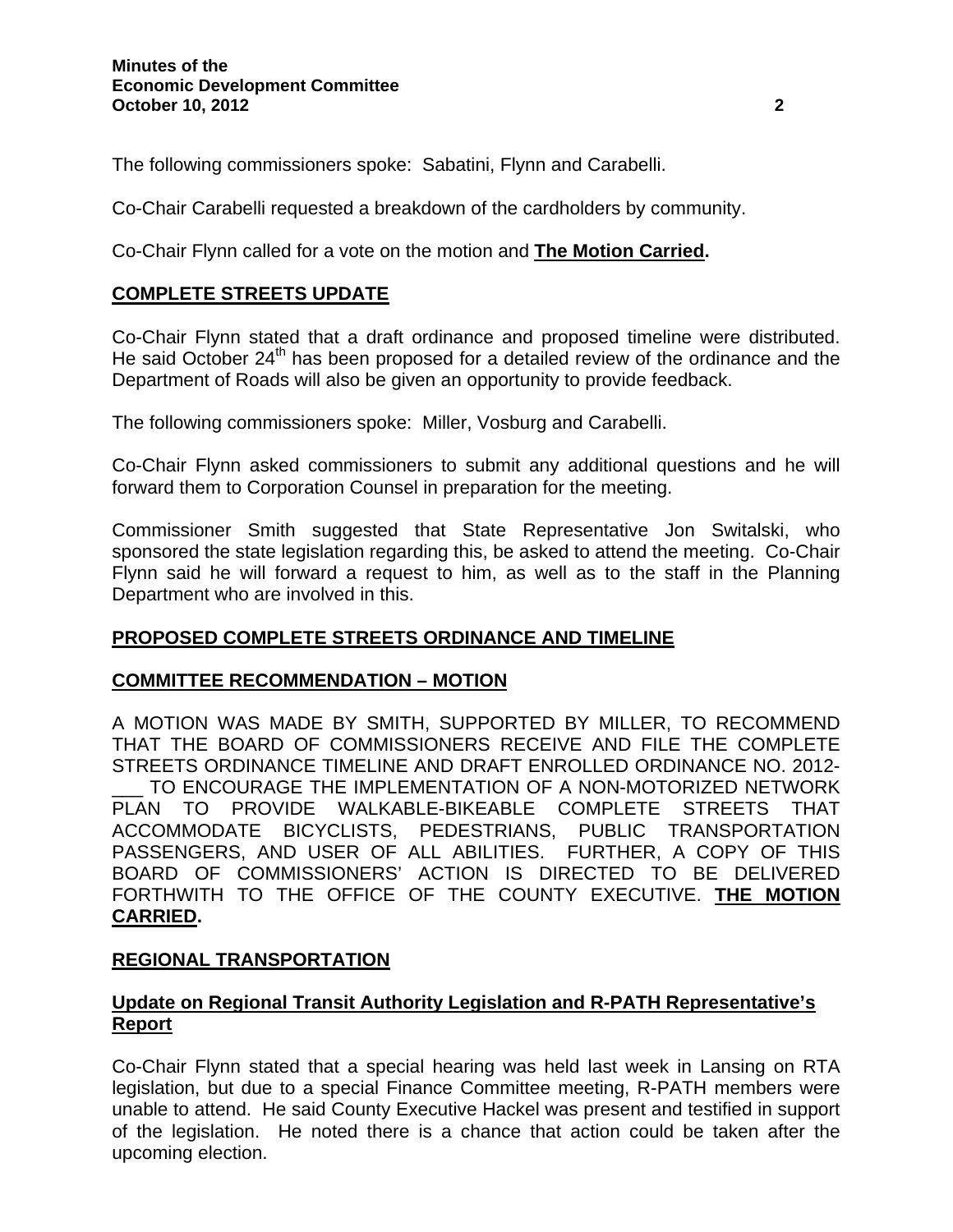The following commissioners spoke: Sabatini, Flynn and Carabelli.

Co-Chair Carabelli requested a breakdown of the cardholders by community.

Co-Chair Flynn called for a vote on the motion and **The Motion Carried.** 

# **COMPLETE STREETS UPDATE**

Co-Chair Flynn stated that a draft ordinance and proposed timeline were distributed. He said October  $24<sup>th</sup>$  has been proposed for a detailed review of the ordinance and the Department of Roads will also be given an opportunity to provide feedback.

The following commissioners spoke: Miller, Vosburg and Carabelli.

Co-Chair Flynn asked commissioners to submit any additional questions and he will forward them to Corporation Counsel in preparation for the meeting.

Commissioner Smith suggested that State Representative Jon Switalski, who sponsored the state legislation regarding this, be asked to attend the meeting. Co-Chair Flynn said he will forward a request to him, as well as to the staff in the Planning Department who are involved in this.

### **PROPOSED COMPLETE STREETS ORDINANCE AND TIMELINE**

### **COMMITTEE RECOMMENDATION – MOTION**

A MOTION WAS MADE BY SMITH, SUPPORTED BY MILLER, TO RECOMMEND THAT THE BOARD OF COMMISSIONERS RECEIVE AND FILE THE COMPLETE STREETS ORDINANCE TIMELINE AND DRAFT ENROLLED ORDINANCE NO. 2012-

TO ENCOURAGE THE IMPLEMENTATION OF A NON-MOTORIZED NETWORK PLAN TO PROVIDE WALKABLE-BIKEABLE COMPLETE STREETS THAT ACCOMMODATE BICYCLISTS, PEDESTRIANS, PUBLIC TRANSPORTATION PASSENGERS, AND USER OF ALL ABILITIES. FURTHER, A COPY OF THIS BOARD OF COMMISSIONERS' ACTION IS DIRECTED TO BE DELIVERED FORTHWITH TO THE OFFICE OF THE COUNTY EXECUTIVE. **THE MOTION CARRIED.** 

### **REGIONAL TRANSPORTATION**

## **Update on Regional Transit Authority Legislation and R-PATH Representative's Report**

Co-Chair Flynn stated that a special hearing was held last week in Lansing on RTA legislation, but due to a special Finance Committee meeting, R-PATH members were unable to attend. He said County Executive Hackel was present and testified in support of the legislation. He noted there is a chance that action could be taken after the upcoming election.